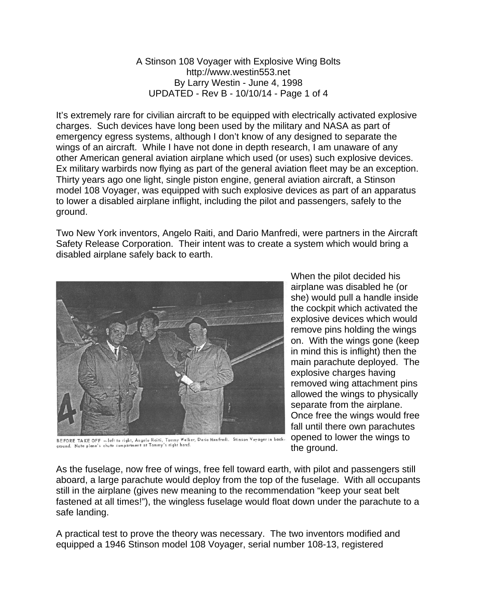## A Stinson 108 Voyager with Explosive Wing Bolts http://www.westin553.net By Larry Westin - June 4, 1998 UPDATED - Rev B - 10/10/14 - Page 1 of 4

It's extremely rare for civilian aircraft to be equipped with electrically activated explosive charges. Such devices have long been used by the military and NASA as part of emergency egress systems, although I don't know of any designed to separate the wings of an aircraft. While I have not done in depth research, I am unaware of any other American general aviation airplane which used (or uses) such explosive devices. Ex military warbirds now flying as part of the general aviation fleet may be an exception. Thirty years ago one light, single piston engine, general aviation aircraft, a Stinson model 108 Voyager, was equipped with such explosive devices as part of an apparatus to lower a disabled airplane inflight, including the pilot and passengers, safely to the ground.

Two New York inventors, Angelo Raiti, and Dario Manfredi, were partners in the Aircraft Safety Release Corporation. Their intent was to create a system which would bring a disabled airplane safely back to earth.



BEFORE TAKE OFF - left to right, Angelo Raiti, Tommy Walker, Dario Manfredi. Stinson Voyager in back-<br>ground. Note plane's chute compartment at Tommy's right hand.

When the pilot decided his airplane was disabled he (or she) would pull a handle inside the cockpit which activated the explosive devices which would remove pins holding the wings on. With the wings gone (keep in mind this is inflight) then the main parachute deployed. The explosive charges having removed wing attachment pins allowed the wings to physically separate from the airplane. Once free the wings would free fall until there own parachutes opened to lower the wings to the ground.

As the fuselage, now free of wings, free fell toward earth, with pilot and passengers still aboard, a large parachute would deploy from the top of the fuselage. With all occupants still in the airplane (gives new meaning to the recommendation "keep your seat belt fastened at all times!"), the wingless fuselage would float down under the parachute to a safe landing.

A practical test to prove the theory was necessary. The two inventors modified and equipped a 1946 Stinson model 108 Voyager, serial number 108-13, registered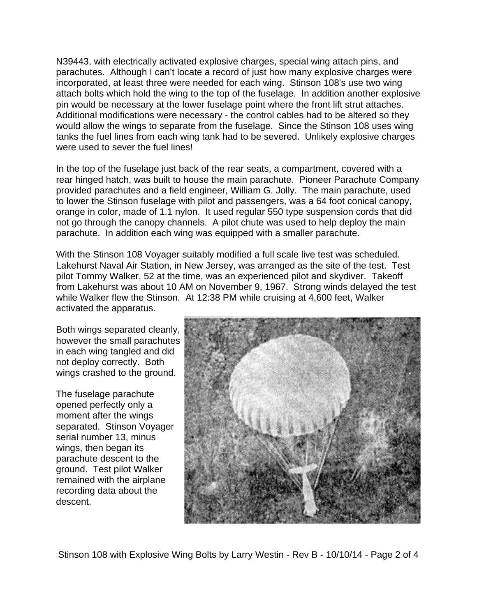N39443, with electrically activated explosive charges, special wing attach pins, and parachutes. Although I can't locate a record of just how many explosive charges were incorporated, at least three were needed for each wing. Stinson 108's use two wing attach bolts which hold the wing to the top of the fuselage. In addition another explosive pin would be necessary at the lower fuselage point where the front lift strut attaches. Additional modifications were necessary - the control cables had to be altered so they would allow the wings to separate from the fuselage. Since the Stinson 108 uses wing tanks the fuel lines from each wing tank had to be severed. Unlikely explosive charges were used to sever the fuel lines!

In the top of the fuselage just back of the rear seats, a compartment, covered with a rear hinged hatch, was built to house the main parachute. Pioneer Parachute Company provided parachutes and a field engineer, William G. Jolly. The main parachute, used to lower the Stinson fuselage with pilot and passengers, was a 64 foot conical canopy, orange in color, made of 1.1 nylon. It used regular 550 type suspension cords that did not go through the canopy channels. A pilot chute was used to help deploy the main parachute. In addition each wing was equipped with a smaller parachute.

With the Stinson 108 Voyager suitably modified a full scale live test was scheduled. Lakehurst Naval Air Station, in New Jersey, was arranged as the site of the test. Test pilot Tommy Walker, 52 at the time, was an experienced pilot and skydiver. Takeoff from Lakehurst was about 10 AM on November 9, 1967. Strong winds delayed the test while Walker flew the Stinson. At 12:38 PM while cruising at 4,600 feet, Walker activated the apparatus.

Both wings separated cleanly, however the small parachutes in each wing tangled and did not deploy correctly. Both wings crashed to the ground.

The fuselage parachute opened perfectly only a moment after the wings separated. Stinson Voyager serial number 13, minus wings, then began its parachute descent to the ground. Test pilot Walker remained with the airplane recording data about the descent.



Stinson 108 with Explosive Wing Bolts by Larry Westin - Rev B - 10/10/14 - Page 2 of 4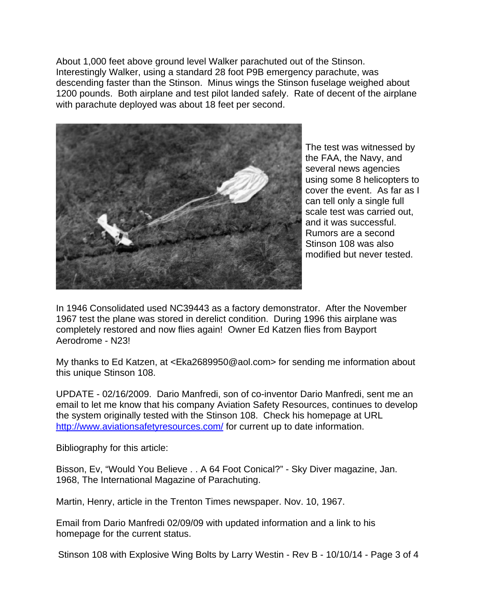About 1,000 feet above ground level Walker parachuted out of the Stinson. Interestingly Walker, using a standard 28 foot P9B emergency parachute, was descending faster than the Stinson. Minus wings the Stinson fuselage weighed about 1200 pounds. Both airplane and test pilot landed safely. Rate of decent of the airplane with parachute deployed was about 18 feet per second.



The test was witnessed by the FAA, the Navy, and several news agencies using some 8 helicopters to cover the event. As far as I can tell only a single full scale test was carried out, and it was successful. Rumors are a second Stinson 108 was also modified but never tested.

In 1946 Consolidated used NC39443 as a factory demonstrator. After the November 1967 test the plane was stored in derelict condition. During 1996 this airplane was completely restored and now flies again! Owner Ed Katzen flies from Bayport Aerodrome - N23!

My thanks to Ed Katzen, at <Eka2689950@aol.com> for sending me information about this unique Stinson 108.

UPDATE - 02/16/2009. Dario Manfredi, son of co-inventor Dario Manfredi, sent me an email to let me know that his company Aviation Safety Resources, continues to develop the system originally tested with the Stinson 108. Check his homepage at URL http://www.aviationsafetyresources.com/ for current up to date information.

Bibliography for this article:

Bisson, Ev, "Would You Believe . . A 64 Foot Conical?" - Sky Diver magazine, Jan. 1968, The International Magazine of Parachuting.

Martin, Henry, article in the Trenton Times newspaper. Nov. 10, 1967.

Email from Dario Manfredi 02/09/09 with updated information and a link to his homepage for the current status.

Stinson 108 with Explosive Wing Bolts by Larry Westin - Rev B - 10/10/14 - Page 3 of 4